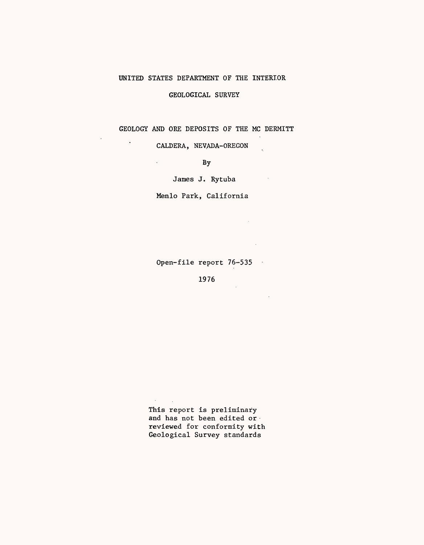# UNITED STATES DEPARTMENT OF THE INTERIOR

## GEOLOGICAL SURVEY

GEOLOGY AND ORE DEPOSITS OF THE MC DERMITT

 $\mathbb{R}^2$ 

 $\sim 10$ 

 $\sim 10^{11}$  km

 $\mathcal{L}_{\text{max}}$ 

CALDERA, NEVADA-OREGON

 $\ddot{\phantom{0}}$ 

 $\ddot{\phantom{a}}$ 

 $\mathcal{L}^{\text{max}}$ 

By

James J. Rytuba

Menlo Park, California

Open-file report 76-535

1976

This report is preliminary and has not been edited or reviewed for conformity with Geological Survey standards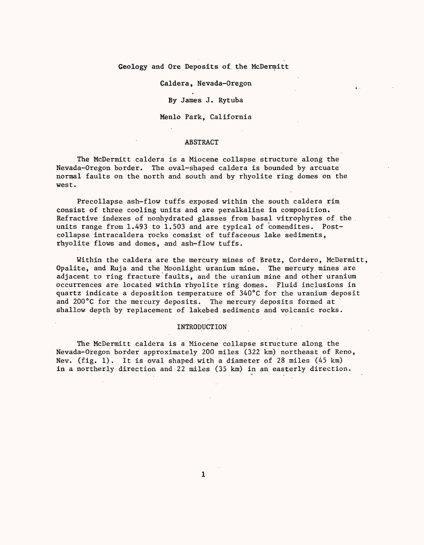### Geology and Ore Deposits of. the McDermitt

#### Caldera, Nevada-Oregon

By James J. Rytuba

Menlo Park, California

#### ABSTRACT

The McDermitt caldera is a Miocene collapse structure along the Nevada-Oregon border. The oval-shaped caldera is bounded by arcuate normal faults on the north and south and by rhyolite ring domes on the west.

Precollapse ash-flow tuffs exposed within the south caldera rim consist of three cooling units and are peralkaline in composition. Refractive indexes of nonhydrated glasses from basal vitrophyres of the units range from 1.493 to 1.503 and are typical of comendites. Postcollapse intracaldera rocks consist of tuffaceous lake sediments, rhyolite flows and domes, and ash-flow tuffs.

Within the caldera are the mercury mines of Bretz, Cordero, McDermitt, Opalite, and Ruja and the Moonlight uranium mine. The mercury mines are adjacent to ring fracture faults, and the uranium mine and other uranium occurrences are located within rhyolite ring domes. Fluid inclusions in quartz indicate a deposition temperature of 340°C for the uranium deposit and 200°C for the mercury deposits. The mercury deposits formed at shallow depth by replacement of lakebed sediments and volcanic rocks.

#### INTRODUCTION

The McDermitt caldera is a Miocene collapse structure along the Nevada-Oregon border approximately 200 miles (322 km) northeast of Reno, Nev. (fig. 1). It is oval shaped with a diameter of 28 miles (45 km) in a northerly direction and 22 miles (35 km) in an easterly direction.

 $\mathbf{1}$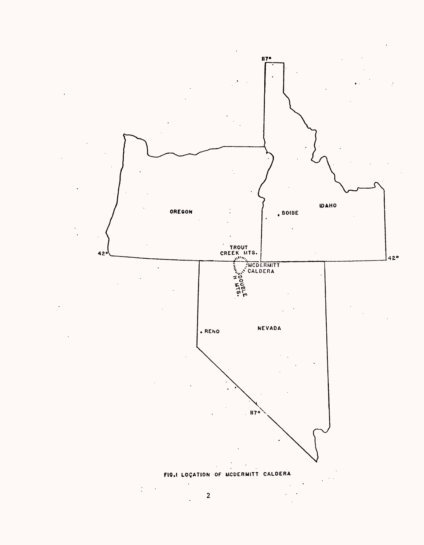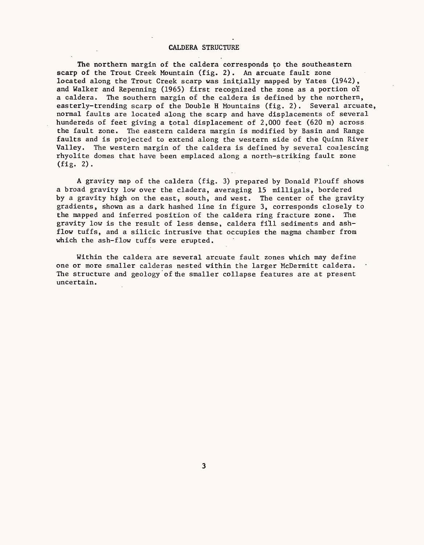#### CALDERA STRUCTURE

The northern margin of the caldera corresponds to the southeastern scarp of the Trout Creek Mountain (fig. 2). An arcuate fault zone located along the Trout Creek scarp was initially mapped by Yates (1942), and Walker and Repenning (1965) first recognized the zone as a portion o'f a caldera. The southern margin of the caldera is defined by the northern, easterly-trending scarp of the Double H Mountains (fig. 2). Several arcuate, normal faults are located along the scarp and have displacements of several hundereds of feet giving a total displacement of 2,000 feet (620 m) across the fault zone. The eastern caldera margin is modified by Basin and Range faults and is projected to extend along the western side of the Quinn River Valley. The western margin of the caldera is defined by several coalescing rhyolite domes that have been emplaced along a north-striking fault zone  $(fig. 2).$ 

A gravity map of the caldera (fig. 3) prepared by Donald Plouff shows a broad gravity low over the cladera, averaging 15 milligals, bordered by a gravity high on the east, south, and west. The center of the gravity gradients, shown as a dark hashed line in figure 3, corresponds closely to the mapped and inferred position of the caldera ring fracture zone. The gravity low is the result of less dense, caldera fill sediments and ashflow tuffs, and a silicic intrusive that occupies the magma chamber from which the ash-flow tuffs were erupted.

Within the caldera are several arcuate fault zones which may define one or more smaller calderas nested within the larger McDermitt caldera. The structure and geology of the smaller collapse features are at present uncertain.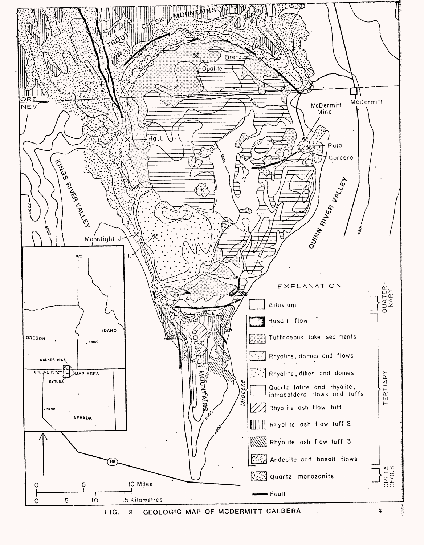

**FIG. 2 GEOLOGIC MAP OF MCDERMITT CALDERA**

4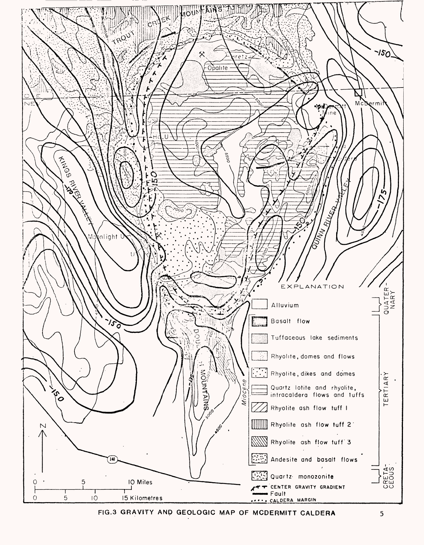

**FIG.3 GRAVITY AND GEOLOGIC MAP OF MCDERMITT CALDERA**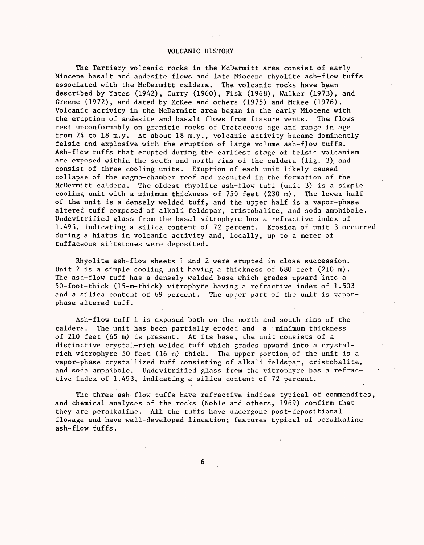#### VOLCANIC HISTORY

The Tertiary volcanic rocks in the McDermitt area consist of early Miocene basalt and andesite flows and late Miocene rhyolite ash-flow tuffs associated with the McDermitt caldera. The volcanic rocks have been described by Yates (1942), Curry (1960), Fisk (1968), Walker (1973), and Greene (1972), and dated by McKee and others (1975) and McKee (1976). Volcanic activity in the McDermitt area began in the early Miocene with the eruption of andesite and basalt flows from fissure vents. The flows rest unconformably on granitic rocks of Cretaceous age and range in age from 24 to 18 m.y. At about 18 m.y., volcanic activity became dominantly felsic and explosive with the eruption of large volume ash-flow.tuffs. Ash-flow tuffs that erupted during the earliest stage of felsic volcanism are exposed within the south and north rims of the caldera (fig. 3) and consist of three cooling units. Eruption of each unit likely caused collapse of the magma-chamber roof and resulted in the formation of the McDermitt caldera. The oldest rhyolite ash-flow tuff (unit 3) is a simple cooling unit with a minimum thickness of 750 feet (230 m). The lower half of the unit is a densely welded tuff, and the upper half is a vapor-phase altered tuff composed of alkali feldspar, cristobalite, and soda amphibole. Undevitrified glass from the basal vitrophyre has a refractive index of 1.495, indicating a silica content of 72 percent. Erosion of unit 3 occurred during a hiatus in volcanic activity and, locally, up to a meter of tuffaceous siltstones were deposited.

Rhyolite ash-flow sheets 1 and 2 were erupted in close succession. Unit 2 is a simple cooling unit having a thickness of  $680$  feet  $(210 \text{ m})$ . The ash-flow tuff has a densely welded base which grades upward into a 50-foot-thick (15-m-thick) vitrophyre having a refractive index of 1.503 and a silica content of 69 percent. The upper part of the unit is vaporphase altered tuff.

Ash-flow tuff 1 is exposed both on the north and south rims of the caldera. The unit has been partially eroded and a minimum thickness of 210 feet (65 m) is present. At its base, the unit consists of a distinctive crystal-rich welded tuff which grades upward into a crystalrich vitrophyre 50 feet (16 m) thick. The upper portion of the unit is a vapor-phase crystallized tuff consisting of alkali feldspar, cristobalite, and soda amphibole. Undevitrified glass from the vitrophyre has a refractive index of 1.493, indicating a silica content of 72 percent.

The three ash-flow tuffs have refractive indices typical of commendites, and chemical analyses of the rocks (Noble and others, 1969) confirm that they are peralkaline. All the tuffs have undergone post-depositional flowage and have well-developed lineation; features typical of peralkaline ash-flow tuffs.

6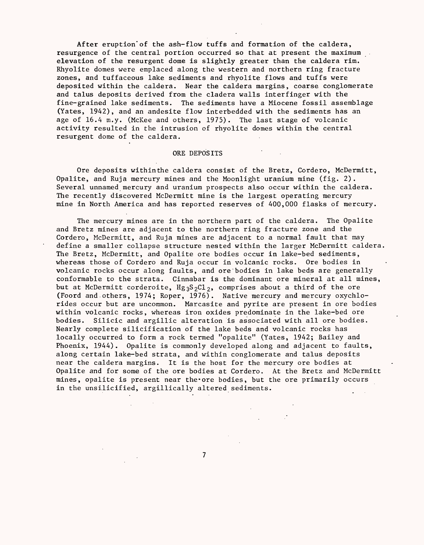After eruption of the ash-flow tuffs and formation of the caldera, resurgence of the central portion occurred so that at present the maximum elevation of the resurgent dome is slightly greater than the caldera rim. Rhyolite domes were emplaced along the western and northern ring fracture zones, and tuffaceous lake sediments and rhyolite flows and tuffs were deposited within the caldera. Near the caldera margins, coarse conglomerate and talus deposits derived from the cladera walls interfinger with the fine-grained lake sediments. The sediments have a Miocene fossil assemblage (Yates, 1942), and an andesite flow interbedded with the sediments has an age of 16.4 m.y. (McKee and others, 1975). The last stage of volcanic activity resulted in the intrusion of rhyolite domes within the central resurgent dome of the caldera.

#### ORE DEPOSITS

Ore deposits withinthe caldera consist of the Bretz, Cordero, McDermitt, Opalite, and Ruja mercury mines and the Moonlight uranium mine (fig. 2). Several unnamed mercury and uranium prospects also occur within the caldera. The recently discovered McDermitt mine is the largest operating mercury mine in North America and has reported reserves of 400,000 flasks of mercury.

The mercury mines are in the northern part of the caldera. The Opalite and Bretz mines are adjacent to the northern ring fracture zone and the Cordero, McDermitt, and Ruja mines are adjacent to a normal fault that may define a smaller collapse structure nested within the larger McDermitt caldera. The Bretz, McDermitt, and Opalite ore bodies occur in lake-bed sediments, whereas those of Cordero and Ruja occur in volcanic rocks. Ore bodies in volcanic rocks occur along faults, and ore"bodies in lake beds are generally conformable to the strata. Cinnabar is the dominant ore mineral at all mines, but at McDermitt corderoite,  $Hg_3S_2Cl_2$ , comprises about a third of the ore (Foord and.others, 1974; Roper, 1976). Native mercury and mercury oxychlorides occur but are uncommon. Marcasite and pyrite are present in ore bodies within volcanic rocks, whereas iron oxides predominate in the lake-bed ore bodies. Silicic and argillic alteration is associated with all ore bodies. Nearly complete silicification of the lake beds and volcanic rocks has locally occurred to form a rock termed "opalite" (Yates, 1942; Bailey and Phoenix, 1944). Opalite is commonly developed along and adjacent to faults, along certain lake-bed strata, and within conglomerate and talus deposits near the caldera margins. It is the host for the mercury ore bodies at Opalite and for some of the ore bodies at Cordero. At the Bretz and McDermitt mines, opalite is present near the-ore bodies, but the ore primarily occurs in the unsilicified, argillically altered sediments.

 $\overline{\phantom{a}}$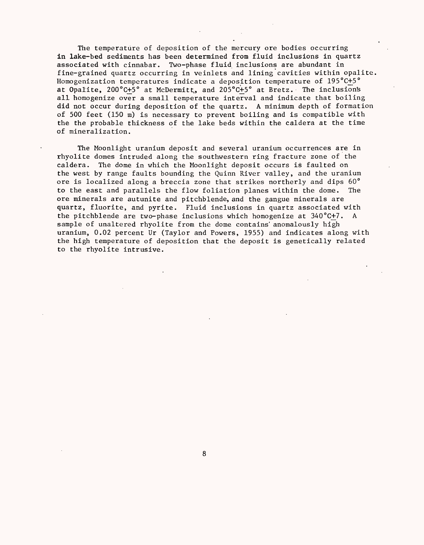The temperature of deposition of the mercury ore bodies occurring in lake-bed sediments has been determined from fluid inclusions in quartz associated with cinnabar. Two-phase fluid inclusions are abundant in fine-grained quartz occurring in veinlets and lining cavities within opalite, Homogenization temperatures indicate a deposition temperature of 195°C+5° at Opalite, 200°C+5° at McDermitt,, and 205°C+5° at Bretz. The inclusions all homogenize over a small temperature interval and indicate that boiling did not occur during deposition of the quartz. A minimum depth of formation of 500 feet (150 m) is necessary to prevent boiling and is compatible with the the probable thickness of the lake beds within the caldera at the time of mineralization.

The Moonlight uranium deposit and several uranium occurrences are in rhyolite domes intruded along the southwestern ring fracture zone of the caldera. The dome in which the Moonlight deposit occurs is faulted on the west by range faults bounding the Quinn River valley, and the uranium ore is localized along a breccia zone that strikes northerly and dips 60° to the east and parallels the flow foliation planes within the dome. The ore minerals are autunite and pitchblende, and the gangue minerals are quartz, fluorite, and pyrite. Fluid inclusions in quartz associated with the pitchblende are two-phase inclusions which homogenize at 340°C+7. A sample of unaltered rhyolite from the dome contains' anomalously high uranium, 0.02 percent Ur (Taylor and Powers, 1955) and indicates along with the high temperature of deposition that the deposit is genetically related to the rhyolite intrusive.